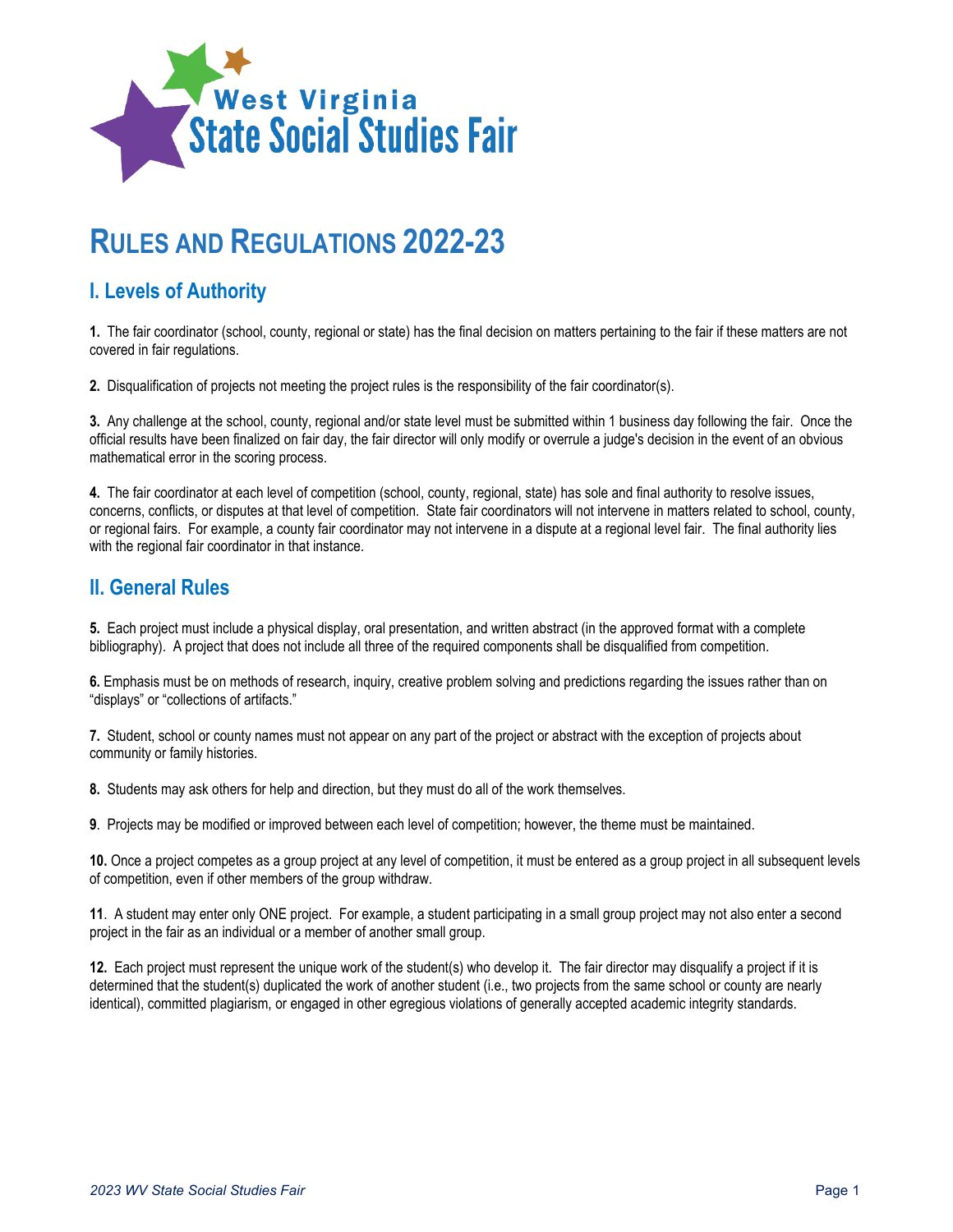

# **RULES AND REGULATIONS 2022-23**

## **I. Levels of Authority**

**1.** The fair coordinator (school, county, regional or state) has the final decision on matters pertaining to the fair if these matters are not covered in fair regulations.

**2.** Disqualification of projects not meeting the project rules is the responsibility of the fair coordinator(s).

**3.** Any challenge at the school, county, regional and/or state level must be submitted within 1 business day following the fair. Once the official results have been finalized on fair day, the fair director will only modify or overrule a judge's decision in the event of an obvious mathematical error in the scoring process.

**4.** The fair coordinator at each level of competition (school, county, regional, state) has sole and final authority to resolve issues, concerns, conflicts, or disputes at that level of competition. State fair coordinators will not intervene in matters related to school, county, or regional fairs. For example, a county fair coordinator may not intervene in a dispute at a regional level fair. The final authority lies with the regional fair coordinator in that instance.

#### **II. General Rules**

**5.** Each project must include a physical display, oral presentation, and written abstract (in the approved format with a complete bibliography). A project that does not include all three of the required components shall be disqualified from competition.

**6.** Emphasis must be on methods of research, inquiry, creative problem solving and predictions regarding the issues rather than on "displays" or "collections of artifacts."

**7.** Student, school or county names must not appear on any part of the project or abstract with the exception of projects about community or family histories.

**8.** Students may ask others for help and direction, but they must do all of the work themselves.

**9**. Projects may be modified or improved between each level of competition; however, the theme must be maintained.

**10.** Once a project competes as a group project at any level of competition, it must be entered as a group project in all subsequent levels of competition, even if other members of the group withdraw.

**11**. A student may enter only ONE project. For example, a student participating in a small group project may not also enter a second project in the fair as an individual or a member of another small group.

**12.** Each project must represent the unique work of the student(s) who develop it. The fair director may disqualify a project if it is determined that the student(s) duplicated the work of another student (i.e., two projects from the same school or county are nearly identical), committed plagiarism, or engaged in other egregious violations of generally accepted academic integrity standards.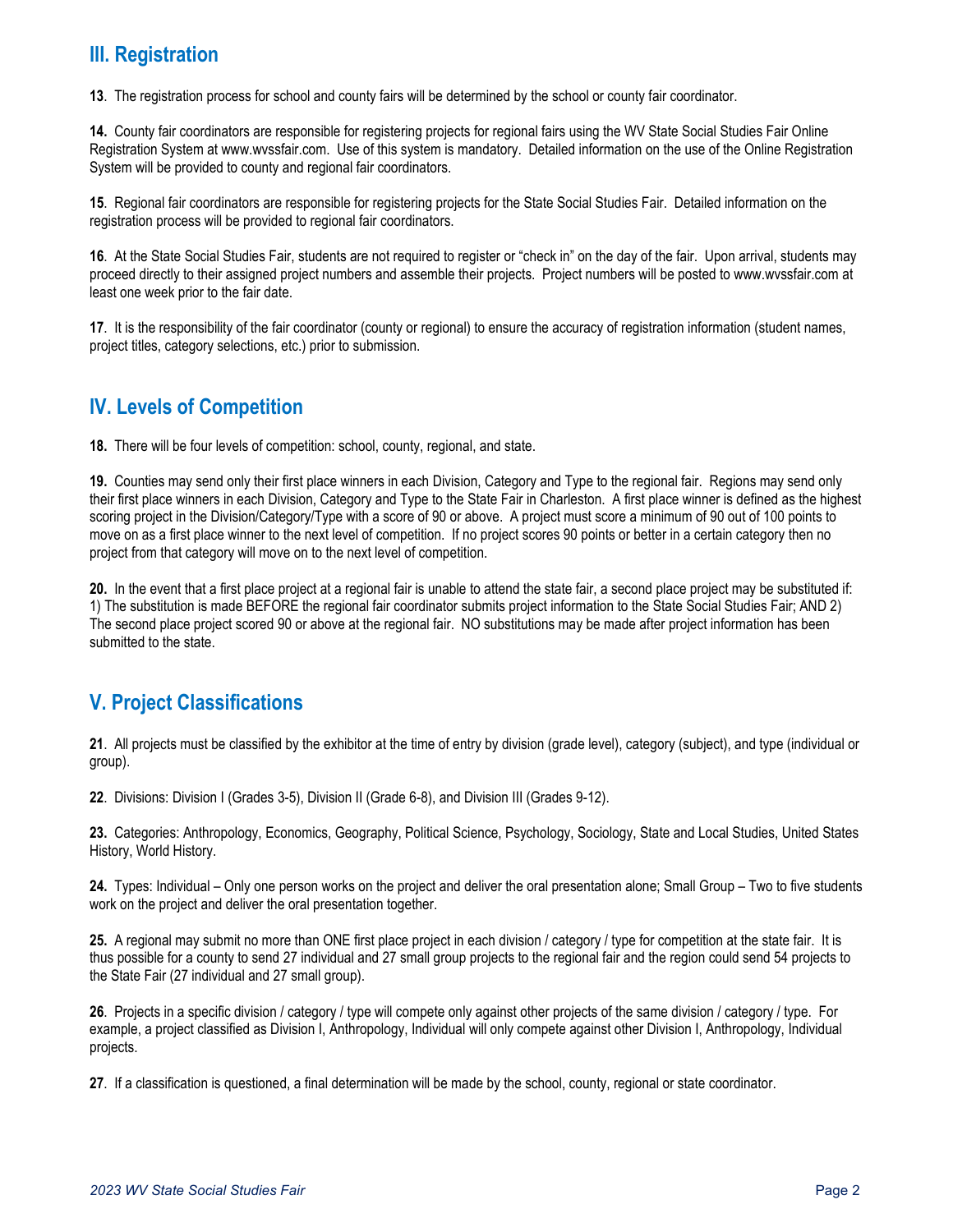## **III. Registration**

**13**. The registration process for school and county fairs will be determined by the school or county fair coordinator.

**14.** County fair coordinators are responsible for registering projects for regional fairs using the WV State Social Studies Fair Online Registration System at www.wvssfair.com. Use of this system is mandatory. Detailed information on the use of the Online Registration System will be provided to county and regional fair coordinators.

**15**. Regional fair coordinators are responsible for registering projects for the State Social Studies Fair. Detailed information on the registration process will be provided to regional fair coordinators.

**16**. At the State Social Studies Fair, students are not required to register or "check in" on the day of the fair. Upon arrival, students may proceed directly to their assigned project numbers and assemble their projects. Project numbers will be posted to www.wvssfair.com at least one week prior to the fair date.

**17**. It is the responsibility of the fair coordinator (county or regional) to ensure the accuracy of registration information (student names, project titles, category selections, etc.) prior to submission.

## **IV. Levels of Competition**

**18.** There will be four levels of competition: school, county, regional, and state.

**19.** Counties may send only their first place winners in each Division, Category and Type to the regional fair. Regions may send only their first place winners in each Division, Category and Type to the State Fair in Charleston. A first place winner is defined as the highest scoring project in the Division/Category/Type with a score of 90 or above. A project must score a minimum of 90 out of 100 points to move on as a first place winner to the next level of competition. If no project scores 90 points or better in a certain category then no project from that category will move on to the next level of competition.

**20.** In the event that a first place project at a regional fair is unable to attend the state fair, a second place project may be substituted if: 1) The substitution is made BEFORE the regional fair coordinator submits project information to the State Social Studies Fair; AND 2) The second place project scored 90 or above at the regional fair. NO substitutions may be made after project information has been submitted to the state.

## **V. Project Classifications**

**21**. All projects must be classified by the exhibitor at the time of entry by division (grade level), category (subject), and type (individual or group).

**22**. Divisions: Division I (Grades 3-5), Division II (Grade 6-8), and Division III (Grades 9-12).

**23.** Categories: Anthropology, Economics, Geography, Political Science, Psychology, Sociology, State and Local Studies, United States History, World History.

**24.** Types: Individual – Only one person works on the project and deliver the oral presentation alone; Small Group – Two to five students work on the project and deliver the oral presentation together.

**25.** A regional may submit no more than ONE first place project in each division / category / type for competition at the state fair. It is thus possible for a county to send 27 individual and 27 small group projects to the regional fair and the region could send 54 projects to the State Fair (27 individual and 27 small group).

**26**. Projects in a specific division / category / type will compete only against other projects of the same division / category / type. For example, a project classified as Division I, Anthropology, Individual will only compete against other Division I, Anthropology, Individual projects.

**27**. If a classification is questioned, a final determination will be made by the school, county, regional or state coordinator.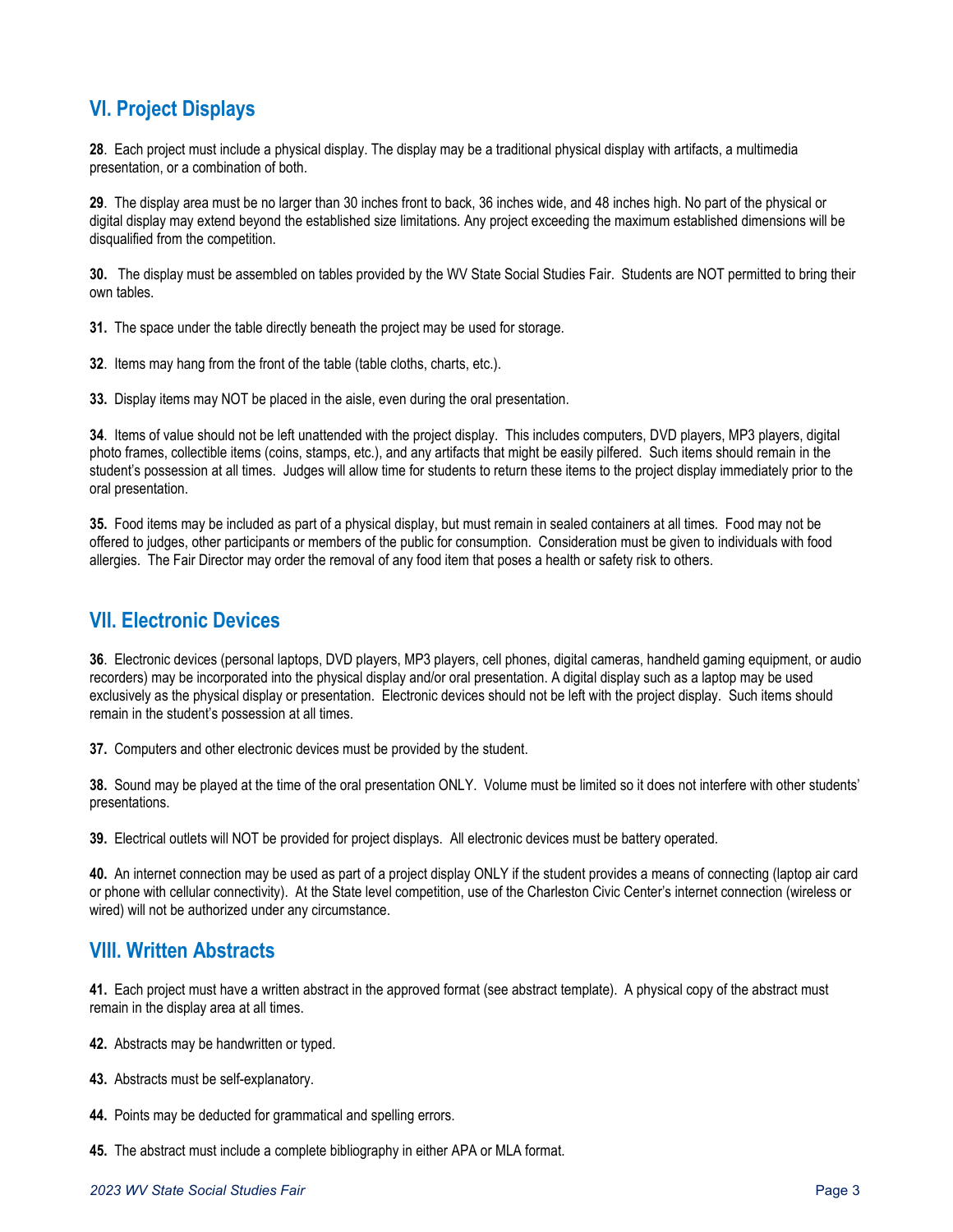# **VI. Project Displays**

**28**. Each project must include a physical display. The display may be a traditional physical display with artifacts, a multimedia presentation, or a combination of both.

**29**. The display area must be no larger than 30 inches front to back, 36 inches wide, and 48 inches high. No part of the physical or digital display may extend beyond the established size limitations. Any project exceeding the maximum established dimensions will be disqualified from the competition.

**30.** The display must be assembled on tables provided by the WV State Social Studies Fair. Students are NOT permitted to bring their own tables.

**31.** The space under the table directly beneath the project may be used for storage.

**32**. Items may hang from the front of the table (table cloths, charts, etc.).

**33.** Display items may NOT be placed in the aisle, even during the oral presentation.

**34**. Items of value should not be left unattended with the project display. This includes computers, DVD players, MP3 players, digital photo frames, collectible items (coins, stamps, etc.), and any artifacts that might be easily pilfered. Such items should remain in the student's possession at all times. Judges will allow time for students to return these items to the project display immediately prior to the oral presentation.

**35.** Food items may be included as part of a physical display, but must remain in sealed containers at all times. Food may not be offered to judges, other participants or members of the public for consumption. Consideration must be given to individuals with food allergies. The Fair Director may order the removal of any food item that poses a health or safety risk to others.

#### **VII. Electronic Devices**

**36**. Electronic devices (personal laptops, DVD players, MP3 players, cell phones, digital cameras, handheld gaming equipment, or audio recorders) may be incorporated into the physical display and/or oral presentation. A digital display such as a laptop may be used exclusively as the physical display or presentation. Electronic devices should not be left with the project display. Such items should remain in the student's possession at all times.

**37.** Computers and other electronic devices must be provided by the student.

**38.** Sound may be played at the time of the oral presentation ONLY. Volume must be limited so it does not interfere with other students' presentations.

**39.** Electrical outlets will NOT be provided for project displays. All electronic devices must be battery operated.

**40.** An internet connection may be used as part of a project display ONLY if the student provides a means of connecting (laptop air card or phone with cellular connectivity). At the State level competition, use of the Charleston Civic Center's internet connection (wireless or wired) will not be authorized under any circumstance.

#### **VIII. Written Abstracts**

**41.** Each project must have a written abstract in the approved format (see abstract template). A physical copy of the abstract must remain in the display area at all times.

- **42.** Abstracts may be handwritten or typed.
- **43.** Abstracts must be self-explanatory.
- **44.** Points may be deducted for grammatical and spelling errors.
- **45.** The abstract must include a complete bibliography in either APA or MLA format.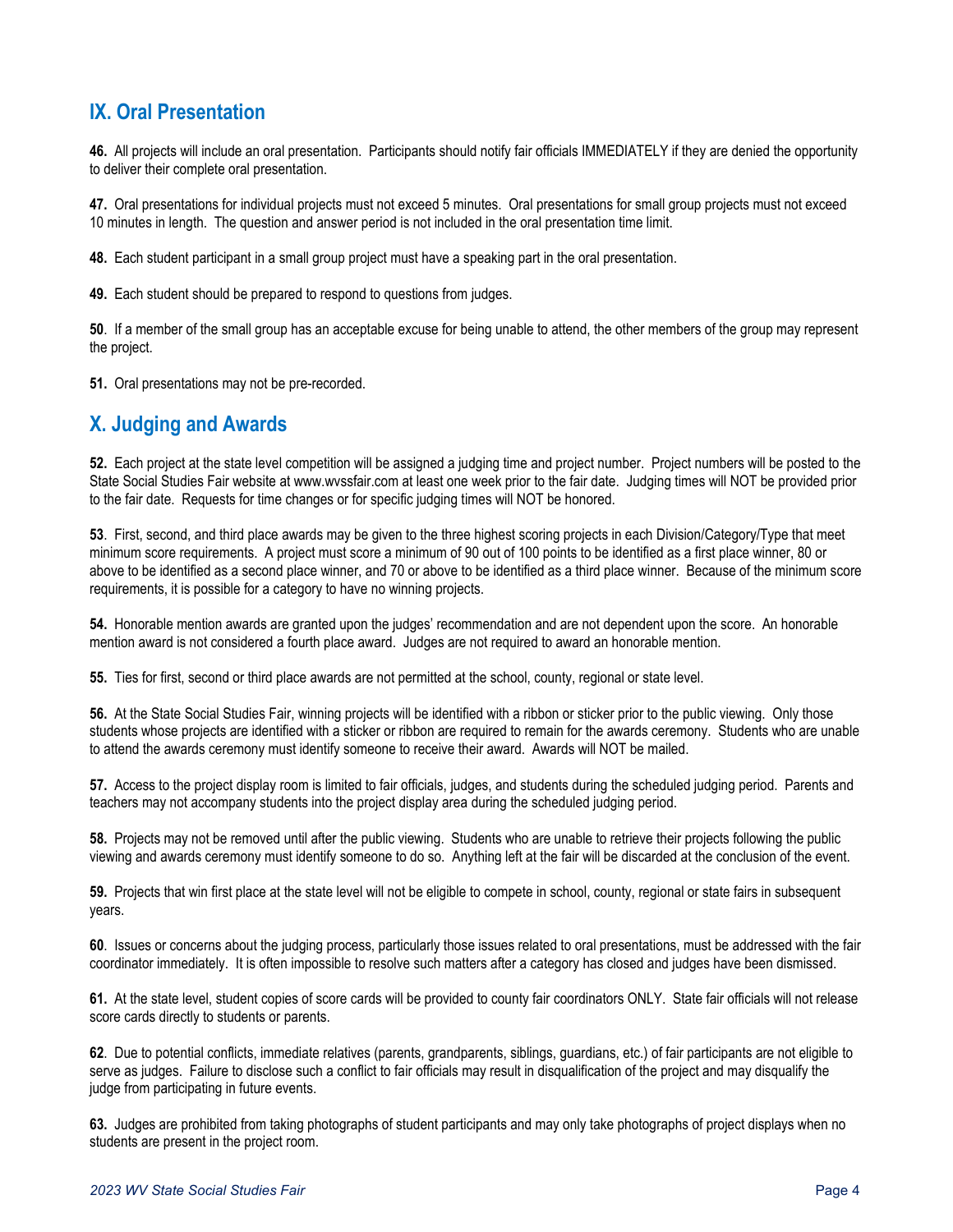## **IX. Oral Presentation**

**46.** All projects will include an oral presentation. Participants should notify fair officials IMMEDIATELY if they are denied the opportunity to deliver their complete oral presentation.

**47.** Oral presentations for individual projects must not exceed 5 minutes. Oral presentations for small group projects must not exceed 10 minutes in length. The question and answer period is not included in the oral presentation time limit.

**48.** Each student participant in a small group project must have a speaking part in the oral presentation.

**49.** Each student should be prepared to respond to questions from judges.

**50**. If a member of the small group has an acceptable excuse for being unable to attend, the other members of the group may represent the project.

**51.** Oral presentations may not be pre-recorded.

#### **X. Judging and Awards**

**52.** Each project at the state level competition will be assigned a judging time and project number. Project numbers will be posted to the State Social Studies Fair website at www.wvssfair.com at least one week prior to the fair date. Judging times will NOT be provided prior to the fair date. Requests for time changes or for specific judging times will NOT be honored.

**53**. First, second, and third place awards may be given to the three highest scoring projects in each Division/Category/Type that meet minimum score requirements. A project must score a minimum of 90 out of 100 points to be identified as a first place winner, 80 or above to be identified as a second place winner, and 70 or above to be identified as a third place winner. Because of the minimum score requirements, it is possible for a category to have no winning projects.

**54.** Honorable mention awards are granted upon the judges' recommendation and are not dependent upon the score. An honorable mention award is not considered a fourth place award. Judges are not required to award an honorable mention.

**55.** Ties for first, second or third place awards are not permitted at the school, county, regional or state level.

**56.** At the State Social Studies Fair, winning projects will be identified with a ribbon or sticker prior to the public viewing. Only those students whose projects are identified with a sticker or ribbon are required to remain for the awards ceremony. Students who are unable to attend the awards ceremony must identify someone to receive their award. Awards will NOT be mailed.

**57.** Access to the project display room is limited to fair officials, judges, and students during the scheduled judging period. Parents and teachers may not accompany students into the project display area during the scheduled judging period.

**58.** Projects may not be removed until after the public viewing. Students who are unable to retrieve their projects following the public viewing and awards ceremony must identify someone to do so. Anything left at the fair will be discarded at the conclusion of the event.

**59.** Projects that win first place at the state level will not be eligible to compete in school, county, regional or state fairs in subsequent years.

**60**. Issues or concerns about the judging process, particularly those issues related to oral presentations, must be addressed with the fair coordinator immediately. It is often impossible to resolve such matters after a category has closed and judges have been dismissed.

**61.** At the state level, student copies of score cards will be provided to county fair coordinators ONLY. State fair officials will not release score cards directly to students or parents.

**62**. Due to potential conflicts, immediate relatives (parents, grandparents, siblings, guardians, etc.) of fair participants are not eligible to serve as judges. Failure to disclose such a conflict to fair officials may result in disqualification of the project and may disqualify the judge from participating in future events.

**63.** Judges are prohibited from taking photographs of student participants and may only take photographs of project displays when no students are present in the project room.